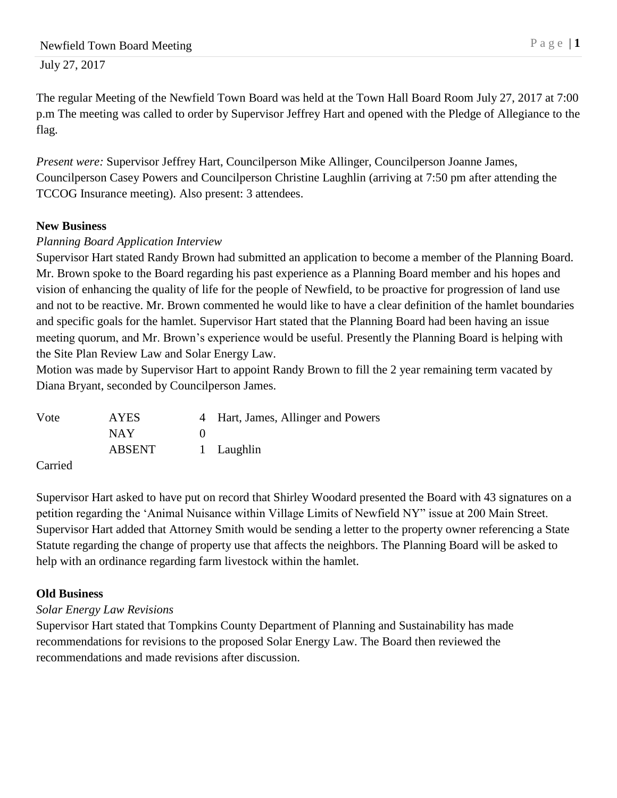July 27, 2017

The regular Meeting of the Newfield Town Board was held at the Town Hall Board Room July 27, 2017 at 7:00 p.m The meeting was called to order by Supervisor Jeffrey Hart and opened with the Pledge of Allegiance to the flag.

*Present were:* Supervisor Jeffrey Hart, Councilperson Mike Allinger, Councilperson Joanne James, Councilperson Casey Powers and Councilperson Christine Laughlin (arriving at 7:50 pm after attending the TCCOG Insurance meeting). Also present: 3 attendees.

## **New Business**

## *Planning Board Application Interview*

Supervisor Hart stated Randy Brown had submitted an application to become a member of the Planning Board. Mr. Brown spoke to the Board regarding his past experience as a Planning Board member and his hopes and vision of enhancing the quality of life for the people of Newfield, to be proactive for progression of land use and not to be reactive. Mr. Brown commented he would like to have a clear definition of the hamlet boundaries and specific goals for the hamlet. Supervisor Hart stated that the Planning Board had been having an issue meeting quorum, and Mr. Brown's experience would be useful. Presently the Planning Board is helping with the Site Plan Review Law and Solar Energy Law.

Motion was made by Supervisor Hart to appoint Randy Brown to fill the 2 year remaining term vacated by Diana Bryant, seconded by Councilperson James.

| Vote    | <b>AYES</b> | 4 Hart, James, Allinger and Powers |
|---------|-------------|------------------------------------|
|         | <b>NAY</b>  |                                    |
|         | ABSENT      | 1 Laughlin                         |
| Carried |             |                                    |

Supervisor Hart asked to have put on record that Shirley Woodard presented the Board with 43 signatures on a petition regarding the 'Animal Nuisance within Village Limits of Newfield NY" issue at 200 Main Street. Supervisor Hart added that Attorney Smith would be sending a letter to the property owner referencing a State Statute regarding the change of property use that affects the neighbors. The Planning Board will be asked to help with an ordinance regarding farm livestock within the hamlet.

## **Old Business**

## *Solar Energy Law Revisions*

Supervisor Hart stated that Tompkins County Department of Planning and Sustainability has made recommendations for revisions to the proposed Solar Energy Law. The Board then reviewed the recommendations and made revisions after discussion.